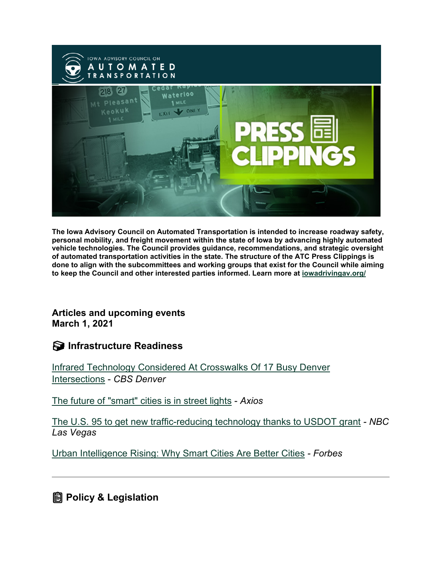

**The Iowa Advisory Council on Automated Transportation is intended to increase roadway safety, personal mobility, and freight movement within the state of Iowa by advancing highly automated vehicle technologies. The Council provides guidance, recommendations, and strategic oversight of automated transportation activities in the state. The structure of the ATC Press Clippings is done to align with the subcommittees and working groups that exist for the Council while aiming to keep the Council and other interested parties informed. Learn more at [iowadrivingav.org/](https://iowadrivingav.org/?utm_medium=email&utm_source=govdelivery)**

**Articles and upcoming events March 1, 2021**

**Infrastructure Readiness**

[Infrared Technology Considered At Crosswalks Of 17 Busy Denver](https://denver.cbslocal.com/2021/02/17/infrared-technology-considered-at-crosswalks-of-17-busy-denver-intersections/?utm_medium=email&utm_source=govdelivery)  [Intersections](https://denver.cbslocal.com/2021/02/17/infrared-technology-considered-at-crosswalks-of-17-busy-denver-intersections/?utm_medium=email&utm_source=govdelivery) - *CBS Denver*

[The future of "smart" cities is in street lights](https://www.axios.com/smart-cities-street-lights-859992a6-6931-48e5-81ba-7f0a0b8058d9.html?utm_medium=email&utm_source=govdelivery) - *Axios*

[The U.S. 95 to get new traffic-reducing technology thanks to USDOT grant](https://news3lv.com/news/local/nevada-gets-6-million-for-technologies-to-reduce-traffic-congestion?utm_medium=email&utm_source=govdelivery) *- NBC Las Vegas*

[Urban Intelligence Rising: Why Smart Cities Are Better Cities](https://www.forbes.com/sites/honeywell/2021/02/23/urban-intelligence-rising-why-smart-cities-are-better-cities/?sh=89be3c719efa&utm_medium=email&utm_source=govdelivery) *- Forbes*

**Policy & Legislation**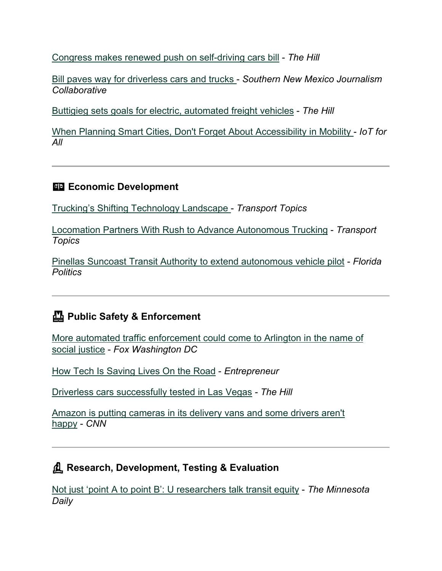[Congress makes renewed push on self-driving cars bill](https://thehill.com/policy/technology/539063-congress-makes-renewed-push-on-self-driving-cars-bill?rl=1&utm_medium=email&utm_source=govdelivery) - *The Hill*

[Bill paves way for driverless cars and trucks](https://www.krwg.org/post/bill-paves-way-driverless-cars-and-trucks?utm_medium=email&utm_source=govdelivery) - *Southern New Mexico Journalism Collaborative*

[Buttigieg sets goals for electric, automated freight vehicles](https://thehill.com/policy/transportation/539094-buttigieg-sets-goals-for-electric-automated-freight-vehicles?utm_medium=email&utm_source=govdelivery) - *The Hill*

[When Planning Smart Cities, Don't Forget About Accessibility in Mobility](https://www.iotforall.com/smart-cities-accessbility-in-mobility?utm_medium=email&utm_source=govdelivery) - *IoT for All*

#### **Economic Development**

[Trucking's Shifting Technology Landscape](https://www.ttnews.com/articles/truckings-shifting-technology-landscape?utm_medium=email&utm_source=govdelivery) - *Transport Topics*

[Locomation Partners With Rush to Advance Autonomous Trucking](https://www.ttnews.com/articles/rush-partners-locomation-advance-autonomous-trucking?utm_medium=email&utm_source=govdelivery) - *Transport Topics*

[Pinellas Suncoast Transit Authority to extend autonomous vehicle pilot](https://floridapolitics.com/archives/406729-pinellas-suncoast-transit-authority-to-extend-autonomous-vehicle-pilot?utm_medium=email&utm_source=govdelivery) - *Florida Politics*

## **Public Safety & Enforcement**

[More automated traffic enforcement could come to Arlington in the name of](https://www.fox5dc.com/news/more-automated-traffic-enforcement-could-come-to-arlington-in-the-name-of-social-justice?utm_medium=email&utm_source=govdelivery)  [social justice](https://www.fox5dc.com/news/more-automated-traffic-enforcement-could-come-to-arlington-in-the-name-of-social-justice?utm_medium=email&utm_source=govdelivery) - *Fox Washington DC*

[How Tech Is Saving Lives On the Road](https://www.entrepreneur.com/article/363920?utm_medium=email&utm_source=govdelivery) - *Entrepreneur*

[Driverless cars successfully tested in Las Vegas](https://thehill.com/policy/transportation/automobiles/540127-driverless-cars-successfully-tested-in-las-vegas?utm_medium=email&utm_source=govdelivery) *- The Hill*

[Amazon is putting cameras in its delivery vans and some drivers aren't](https://www.cnn.com/2021/02/25/tech/amazon-driver-monitoring/index.html?utm_medium=email&utm_source=govdelivery)  [happy](https://www.cnn.com/2021/02/25/tech/amazon-driver-monitoring/index.html?utm_medium=email&utm_source=govdelivery) - *CNN*

### **Research, Development, Testing & Evaluation**

[Not just 'point A to point B': U researchers talk transit equity](https://mndaily.com/265658/news/not-just-point-a-to-point-b-u-researchers-talk-transit-equity/?utm_medium=email&utm_source=govdelivery) - *The Minnesota Daily*